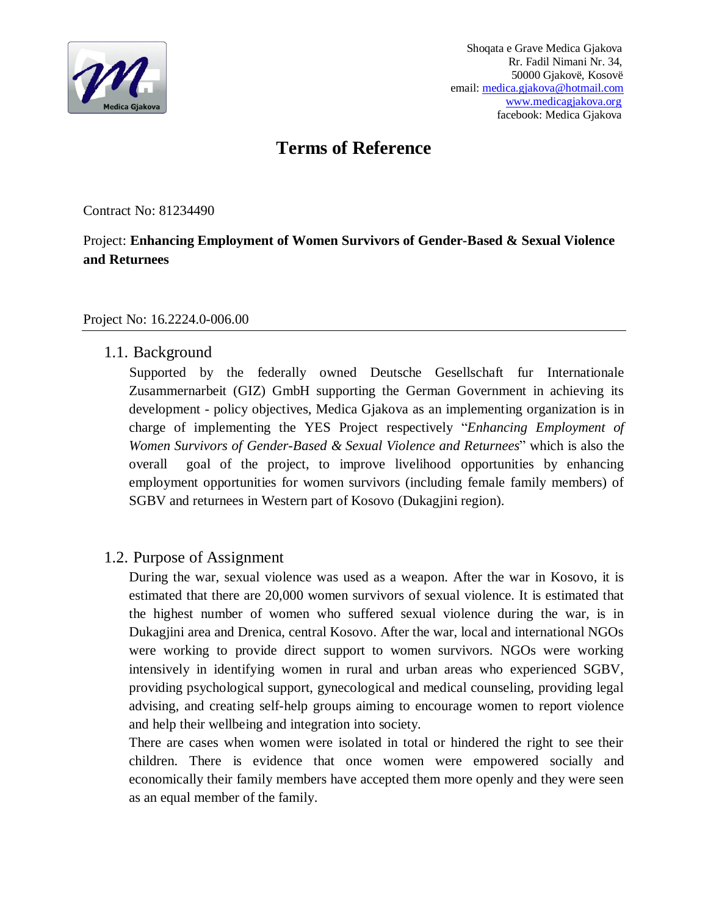

# **Terms of Reference**

Contract No: 81234490

## Project: **Enhancing Employment of Women Survivors of Gender-Based & Sexual Violence and Returnees**

#### Project No: 16.2224.0-006.00

## 1.1. Background

 Supported by the federally owned Deutsche Gesellschaft fur Internationale Zusammernarbeit (GIZ) GmbH supporting the German Government in achieving its development - policy objectives, Medica Gjakova as an implementing organization is in charge of implementing the YES Project respectively "*Enhancing Employment of Women Survivors of Gender-Based & Sexual Violence and Returnees*" which is also the overall goal of the project, to improve livelihood opportunities by enhancing employment opportunities for women survivors (including female family members) of SGBV and returnees in Western part of Kosovo (Dukagjini region).

## 1.2. Purpose of Assignment

During the war, sexual violence was used as a weapon. After the war in Kosovo, it is estimated that there are 20,000 women survivors of sexual violence. It is estimated that the highest number of women who suffered sexual violence during the war, is in Dukagjini area and Drenica, central Kosovo. After the war, local and international NGOs were working to provide direct support to women survivors. NGOs were working intensively in identifying women in rural and urban areas who experienced SGBV, providing psychological support, gynecological and medical counseling, providing legal advising, and creating self-help groups aiming to encourage women to report violence and help their wellbeing and integration into society.

There are cases when women were isolated in total or hindered the right to see their children. There is evidence that once women were empowered socially and economically their family members have accepted them more openly and they were seen as an equal member of the family.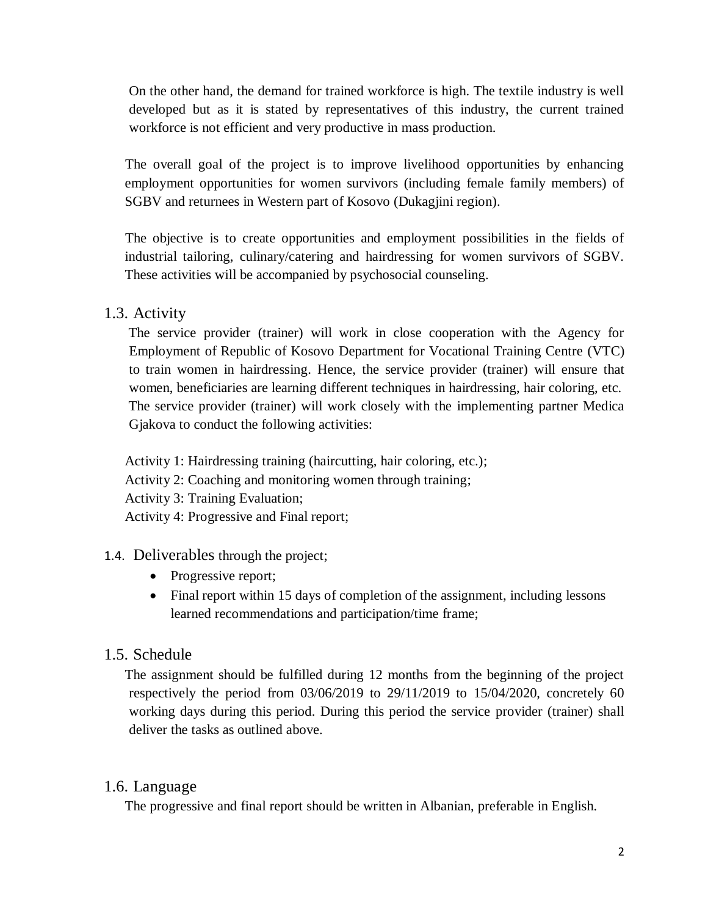On the other hand, the demand for trained workforce is high. The textile industry is well developed but as it is stated by representatives of this industry, the current trained workforce is not efficient and very productive in mass production.

 The overall goal of the project is to improve livelihood opportunities by enhancing employment opportunities for women survivors (including female family members) of SGBV and returnees in Western part of Kosovo (Dukagjini region).

 The objective is to create opportunities and employment possibilities in the fields of industrial tailoring, culinary/catering and hairdressing for women survivors of SGBV. These activities will be accompanied by psychosocial counseling.

## 1.3. Activity

 The service provider (trainer) will work in close cooperation with the Agency for Employment of Republic of Kosovo Department for Vocational Training Centre (VTC) to train women in hairdressing. Hence, the service provider (trainer) will ensure that women, beneficiaries are learning different techniques in hairdressing, hair coloring, etc. The service provider (trainer) will work closely with the implementing partner Medica Gjakova to conduct the following activities:

Activity 1: Hairdressing training (haircutting, hair coloring, etc.); Activity 2: Coaching and monitoring women through training; Activity 3: Training Evaluation; Activity 4: Progressive and Final report;

## 1.4. Deliverables through the project;

- Progressive report;
- Final report within 15 days of completion of the assignment, including lessons learned recommendations and participation/time frame;

## 1.5. Schedule

The assignment should be fulfilled during 12 months from the beginning of the project respectively the period from 03/06/2019 to 29/11/2019 to 15/04/2020, concretely 60 working days during this period. During this period the service provider (trainer) shall deliver the tasks as outlined above.

## 1.6. Language

The progressive and final report should be written in Albanian, preferable in English.